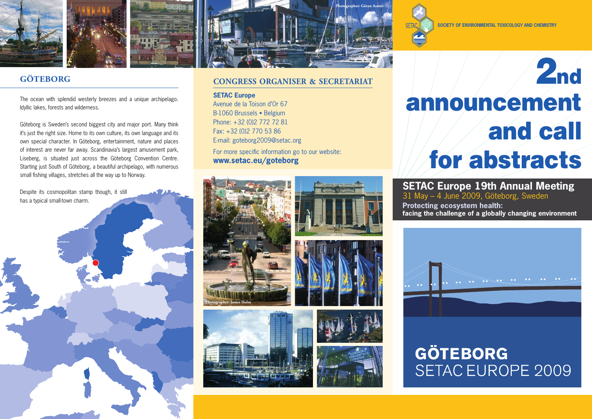



# **GÖTEBORG**

The ocean with splendid westerly breezes and a unique archipelago. Idyllic lakes, forests and wilderness.

Göteborg is Sweden's second biggest city and major port. Many think it's just the right size. Home to its own culture, its own language and its own special character. In Göteborg, entertainment, nature and places of interest are never far away. Scandinavia's largest amusement park, Liseberg, is situated just across the Göteborg Convention Centre. Starting just South of Göteborg, a beautiful archipelago, with numerous small fishing villages, stretches all the way up to Norway.

Despite its cosmopolitan stamp though, it still has a typical small-town charm.



## **Congress organiser & secretariat**

**SETAC Europe** Avenue de la Toison d'Or 67 B-1060 Brussels · Belgium Phone: +32 (0)2 772 72 81 Fax: +32 (0)2 770 53 86 E-mail: goteborg2009@setac.org For more specific information go to our website: **www.setac.eu/goteborg**









**Society of environmental toxicology and chemistry**

# **SETAC Europe 19th Annual Meeting**

31 May – 4 June 2009, Göteborg, Sweden

**Protecting ecosystem health: facing the challenge of a globally changing environment** 



# **GÖTEBORG SETAC EUROPE 2009**